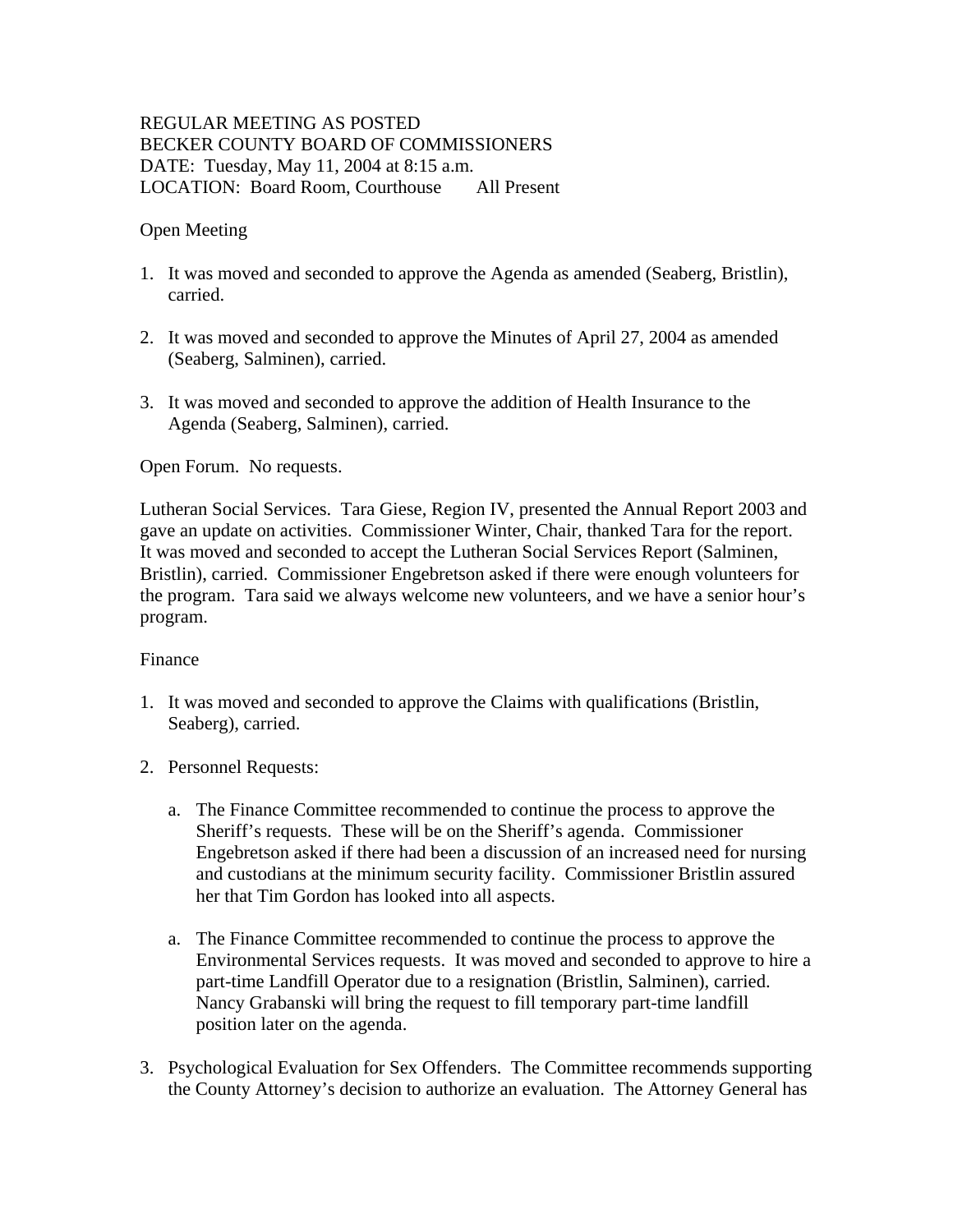# REGULAR MEETING AS POSTED BECKER COUNTY BOARD OF COMMISSIONERS DATE: Tuesday, May 11, 2004 at 8:15 a.m. LOCATION: Board Room, Courthouse All Present

## Open Meeting

- 1. It was moved and seconded to approve the Agenda as amended (Seaberg, Bristlin), carried.
- 2. It was moved and seconded to approve the Minutes of April 27, 2004 as amended (Seaberg, Salminen), carried.
- 3. It was moved and seconded to approve the addition of Health Insurance to the Agenda (Seaberg, Salminen), carried.

Open Forum. No requests.

Lutheran Social Services. Tara Giese, Region IV, presented the Annual Report 2003 and gave an update on activities. Commissioner Winter, Chair, thanked Tara for the report. It was moved and seconded to accept the Lutheran Social Services Report (Salminen, Bristlin), carried. Commissioner Engebretson asked if there were enough volunteers for the program. Tara said we always welcome new volunteers, and we have a senior hour's program.

### Finance

- 1. It was moved and seconded to approve the Claims with qualifications (Bristlin, Seaberg), carried.
- 2. Personnel Requests:
	- a. The Finance Committee recommended to continue the process to approve the Sheriff's requests. These will be on the Sheriff's agenda. Commissioner Engebretson asked if there had been a discussion of an increased need for nursing and custodians at the minimum security facility. Commissioner Bristlin assured her that Tim Gordon has looked into all aspects.
	- a. The Finance Committee recommended to continue the process to approve the Environmental Services requests. It was moved and seconded to approve to hire a part-time Landfill Operator due to a resignation (Bristlin, Salminen), carried. Nancy Grabanski will bring the request to fill temporary part-time landfill position later on the agenda.
- 3. Psychological Evaluation for Sex Offenders. The Committee recommends supporting the County Attorney's decision to authorize an evaluation. The Attorney General has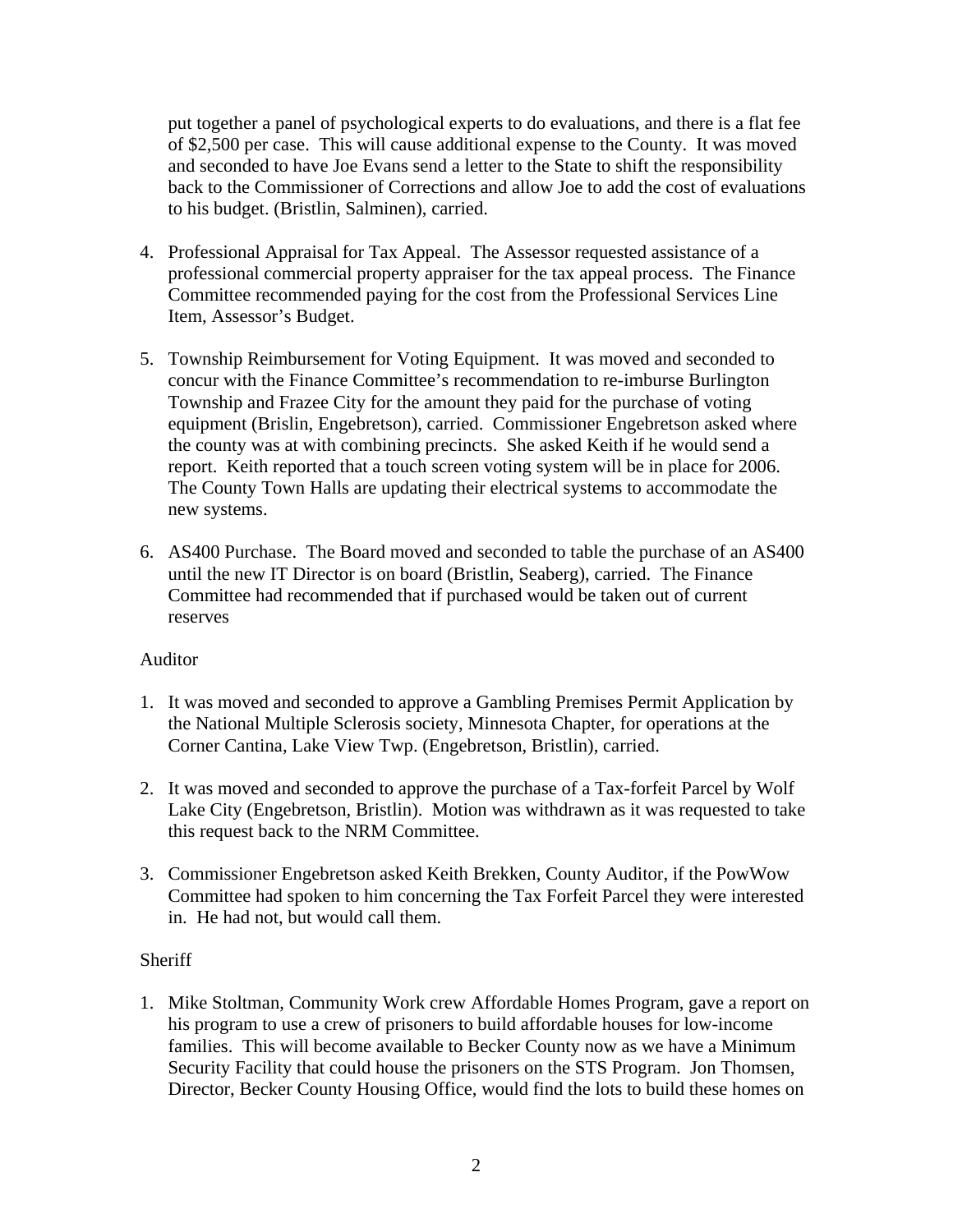put together a panel of psychological experts to do evaluations, and there is a flat fee of \$2,500 per case. This will cause additional expense to the County. It was moved and seconded to have Joe Evans send a letter to the State to shift the responsibility back to the Commissioner of Corrections and allow Joe to add the cost of evaluations to his budget. (Bristlin, Salminen), carried.

- 4. Professional Appraisal for Tax Appeal. The Assessor requested assistance of a professional commercial property appraiser for the tax appeal process. The Finance Committee recommended paying for the cost from the Professional Services Line Item, Assessor's Budget.
- 5. Township Reimbursement for Voting Equipment. It was moved and seconded to concur with the Finance Committee's recommendation to re-imburse Burlington Township and Frazee City for the amount they paid for the purchase of voting equipment (Brislin, Engebretson), carried. Commissioner Engebretson asked where the county was at with combining precincts. She asked Keith if he would send a report. Keith reported that a touch screen voting system will be in place for 2006. The County Town Halls are updating their electrical systems to accommodate the new systems.
- 6. AS400 Purchase. The Board moved and seconded to table the purchase of an AS400 until the new IT Director is on board (Bristlin, Seaberg), carried. The Finance Committee had recommended that if purchased would be taken out of current reserves

### Auditor

- 1. It was moved and seconded to approve a Gambling Premises Permit Application by the National Multiple Sclerosis society, Minnesota Chapter, for operations at the Corner Cantina, Lake View Twp. (Engebretson, Bristlin), carried.
- 2. It was moved and seconded to approve the purchase of a Tax-forfeit Parcel by Wolf Lake City (Engebretson, Bristlin). Motion was withdrawn as it was requested to take this request back to the NRM Committee.
- 3. Commissioner Engebretson asked Keith Brekken, County Auditor, if the PowWow Committee had spoken to him concerning the Tax Forfeit Parcel they were interested in. He had not, but would call them.

# **Sheriff**

1. Mike Stoltman, Community Work crew Affordable Homes Program, gave a report on his program to use a crew of prisoners to build affordable houses for low-income families. This will become available to Becker County now as we have a Minimum Security Facility that could house the prisoners on the STS Program. Jon Thomsen, Director, Becker County Housing Office, would find the lots to build these homes on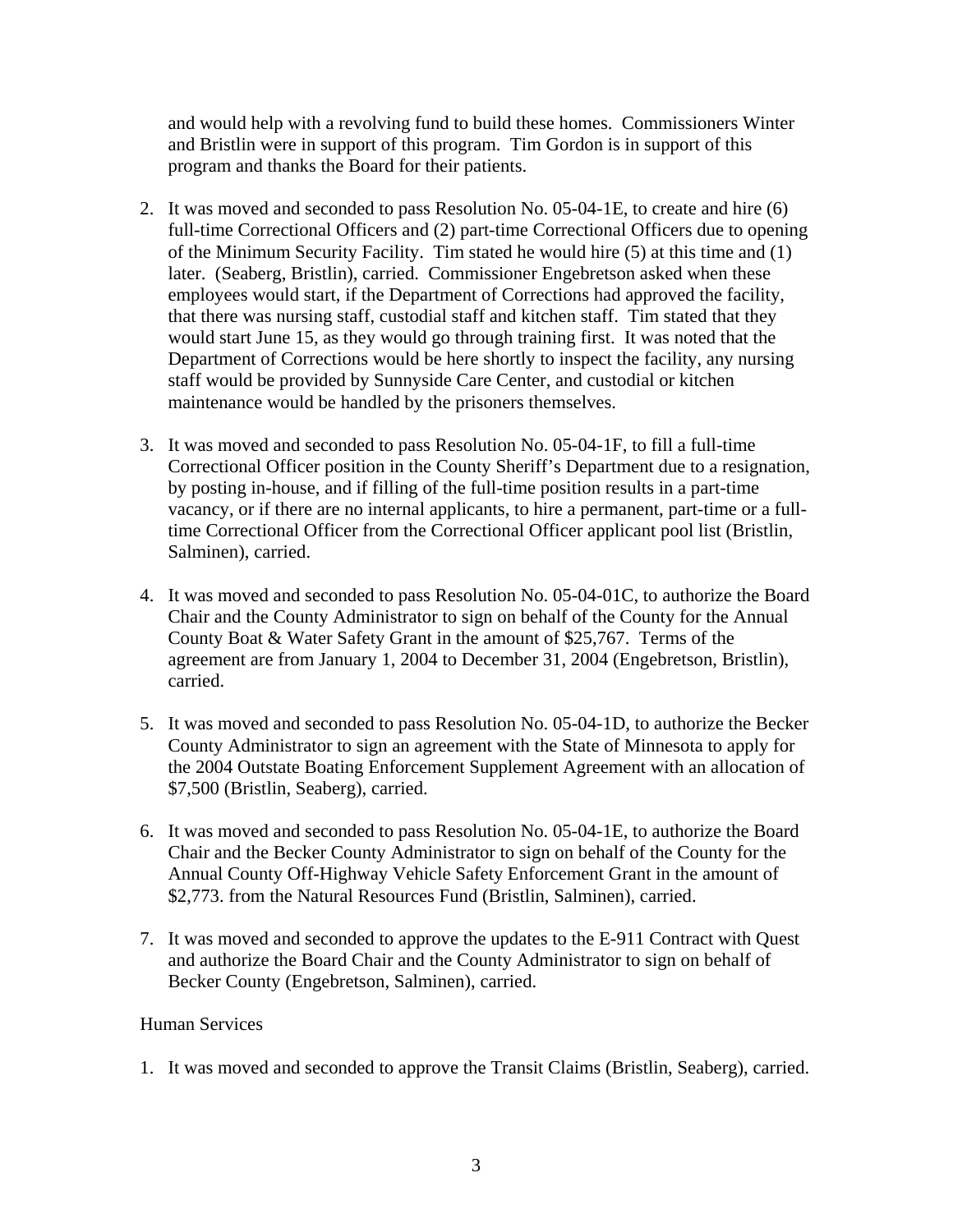and would help with a revolving fund to build these homes. Commissioners Winter and Bristlin were in support of this program. Tim Gordon is in support of this program and thanks the Board for their patients.

- 2. It was moved and seconded to pass Resolution No. 05-04-1E, to create and hire (6) full-time Correctional Officers and (2) part-time Correctional Officers due to opening of the Minimum Security Facility. Tim stated he would hire (5) at this time and (1) later. (Seaberg, Bristlin), carried. Commissioner Engebretson asked when these employees would start, if the Department of Corrections had approved the facility, that there was nursing staff, custodial staff and kitchen staff. Tim stated that they would start June 15, as they would go through training first. It was noted that the Department of Corrections would be here shortly to inspect the facility, any nursing staff would be provided by Sunnyside Care Center, and custodial or kitchen maintenance would be handled by the prisoners themselves.
- 3. It was moved and seconded to pass Resolution No. 05-04-1F, to fill a full-time Correctional Officer position in the County Sheriff's Department due to a resignation, by posting in-house, and if filling of the full-time position results in a part-time vacancy, or if there are no internal applicants, to hire a permanent, part-time or a fulltime Correctional Officer from the Correctional Officer applicant pool list (Bristlin, Salminen), carried.
- 4. It was moved and seconded to pass Resolution No. 05-04-01C, to authorize the Board Chair and the County Administrator to sign on behalf of the County for the Annual County Boat & Water Safety Grant in the amount of \$25,767. Terms of the agreement are from January 1, 2004 to December 31, 2004 (Engebretson, Bristlin), carried.
- 5. It was moved and seconded to pass Resolution No. 05-04-1D, to authorize the Becker County Administrator to sign an agreement with the State of Minnesota to apply for the 2004 Outstate Boating Enforcement Supplement Agreement with an allocation of \$7,500 (Bristlin, Seaberg), carried.
- 6. It was moved and seconded to pass Resolution No. 05-04-1E, to authorize the Board Chair and the Becker County Administrator to sign on behalf of the County for the Annual County Off-Highway Vehicle Safety Enforcement Grant in the amount of \$2,773. from the Natural Resources Fund (Bristlin, Salminen), carried.
- 7. It was moved and seconded to approve the updates to the E-911 Contract with Quest and authorize the Board Chair and the County Administrator to sign on behalf of Becker County (Engebretson, Salminen), carried.

# Human Services

1. It was moved and seconded to approve the Transit Claims (Bristlin, Seaberg), carried.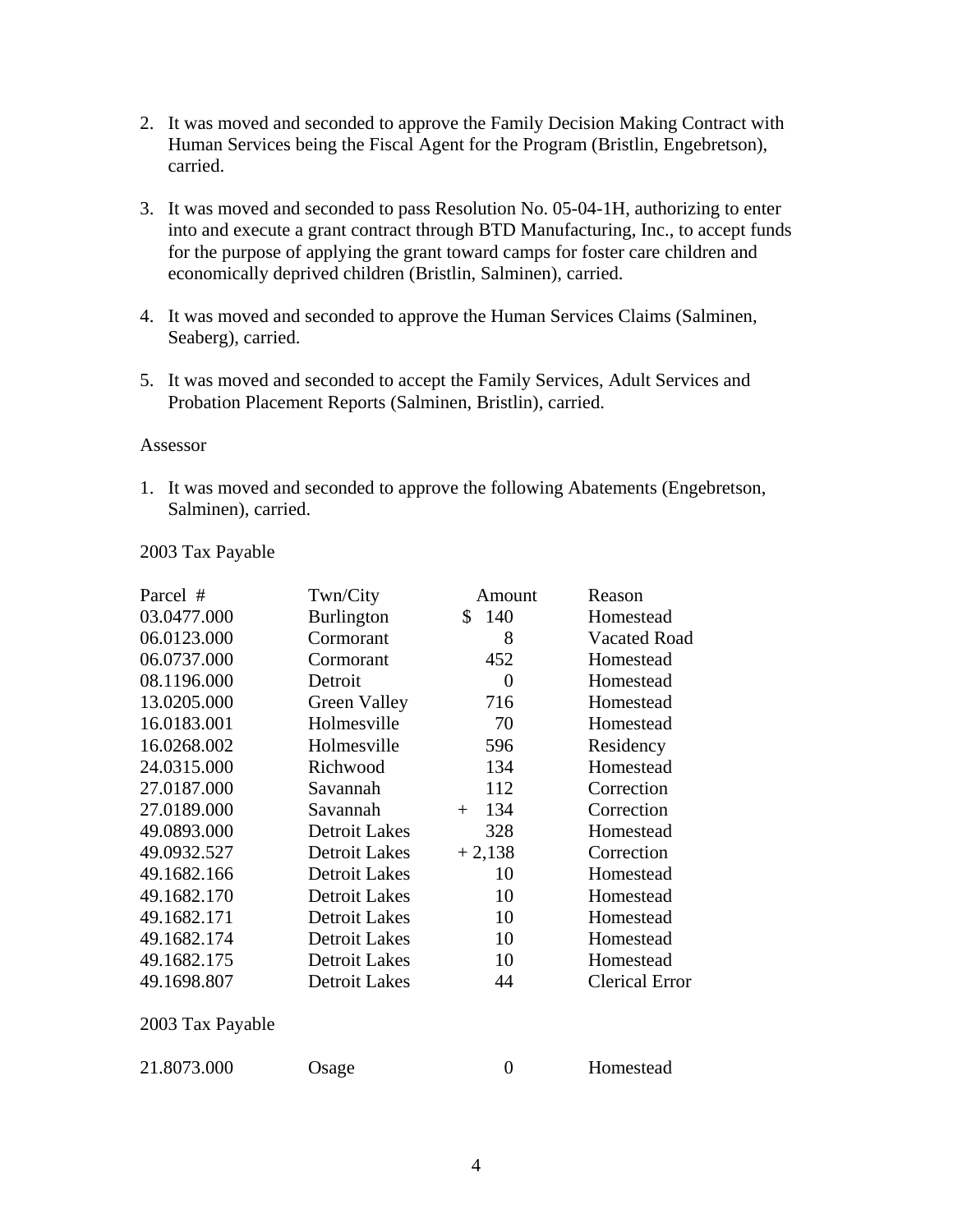- 2. It was moved and seconded to approve the Family Decision Making Contract with Human Services being the Fiscal Agent for the Program (Bristlin, Engebretson), carried.
- 3. It was moved and seconded to pass Resolution No. 05-04-1H, authorizing to enter into and execute a grant contract through BTD Manufacturing, Inc., to accept funds for the purpose of applying the grant toward camps for foster care children and economically deprived children (Bristlin, Salminen), carried.
- 4. It was moved and seconded to approve the Human Services Claims (Salminen, Seaberg), carried.
- 5. It was moved and seconded to accept the Family Services, Adult Services and Probation Placement Reports (Salminen, Bristlin), carried.

#### Assessor

1. It was moved and seconded to approve the following Abatements (Engebretson, Salminen), carried.

### 2003 Tax Payable

| Parcel #         | Twn/City             | Amount     | Reason                |
|------------------|----------------------|------------|-----------------------|
| 03.0477.000      | <b>Burlington</b>    | 140<br>S.  | Homestead             |
| 06.0123.000      | Cormorant            | 8          | <b>Vacated Road</b>   |
| 06.0737.000      | Cormorant            | 452        | Homestead             |
| 08.1196.000      | Detroit              | 0          | Homestead             |
| 13.0205.000      | Green Valley         | 716        | Homestead             |
| 16.0183.001      | Holmesville          | 70         | Homestead             |
| 16.0268.002      | Holmesville          | 596        | Residency             |
| 24.0315.000      | Richwood             | 134        | Homestead             |
| 27.0187.000      | Savannah             | 112        | Correction            |
| 27.0189.000      | Savannah             | 134<br>$+$ | Correction            |
| 49.0893.000      | <b>Detroit Lakes</b> | 328        | Homestead             |
| 49.0932.527      | <b>Detroit Lakes</b> | $+2,138$   | Correction            |
| 49.1682.166      | <b>Detroit Lakes</b> | 10         | Homestead             |
| 49.1682.170      | <b>Detroit Lakes</b> | 10         | Homestead             |
| 49.1682.171      | <b>Detroit Lakes</b> | 10         | Homestead             |
| 49.1682.174      | <b>Detroit Lakes</b> | 10         | Homestead             |
| 49.1682.175      | <b>Detroit Lakes</b> | 10         | Homestead             |
| 49.1698.807      | <b>Detroit Lakes</b> | 44         | <b>Clerical Error</b> |
| 2003 Tax Payable |                      |            |                       |

21.8073.000 Osage 0 Homestead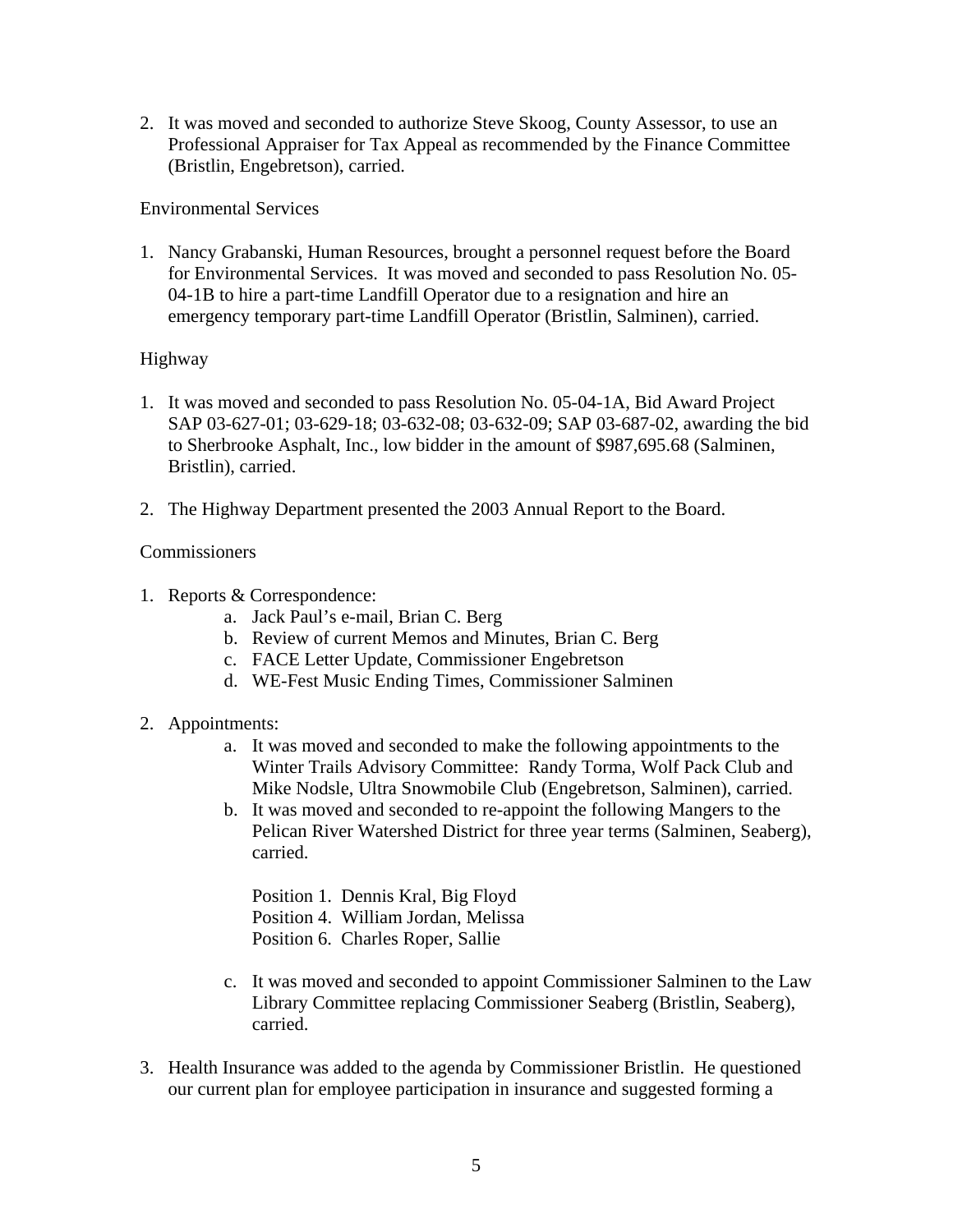2. It was moved and seconded to authorize Steve Skoog, County Assessor, to use an Professional Appraiser for Tax Appeal as recommended by the Finance Committee (Bristlin, Engebretson), carried.

### Environmental Services

1. Nancy Grabanski, Human Resources, brought a personnel request before the Board for Environmental Services. It was moved and seconded to pass Resolution No. 05- 04-1B to hire a part-time Landfill Operator due to a resignation and hire an emergency temporary part-time Landfill Operator (Bristlin, Salminen), carried.

## Highway

- 1. It was moved and seconded to pass Resolution No. 05-04-1A, Bid Award Project SAP 03-627-01; 03-629-18; 03-632-08; 03-632-09; SAP 03-687-02, awarding the bid to Sherbrooke Asphalt, Inc., low bidder in the amount of \$987,695.68 (Salminen, Bristlin), carried.
- 2. The Highway Department presented the 2003 Annual Report to the Board.

## Commissioners

- 1. Reports & Correspondence:
	- a. Jack Paul's e-mail, Brian C. Berg
	- b. Review of current Memos and Minutes, Brian C. Berg
	- c. FACE Letter Update, Commissioner Engebretson
	- d. WE-Fest Music Ending Times, Commissioner Salminen

# 2. Appointments:

- a. It was moved and seconded to make the following appointments to the Winter Trails Advisory Committee: Randy Torma, Wolf Pack Club and Mike Nodsle, Ultra Snowmobile Club (Engebretson, Salminen), carried.
- b. It was moved and seconded to re-appoint the following Mangers to the Pelican River Watershed District for three year terms (Salminen, Seaberg), carried.

Position 1. Dennis Kral, Big Floyd Position 4. William Jordan, Melissa Position 6. Charles Roper, Sallie

- c. It was moved and seconded to appoint Commissioner Salminen to the Law Library Committee replacing Commissioner Seaberg (Bristlin, Seaberg), carried.
- 3. Health Insurance was added to the agenda by Commissioner Bristlin. He questioned our current plan for employee participation in insurance and suggested forming a